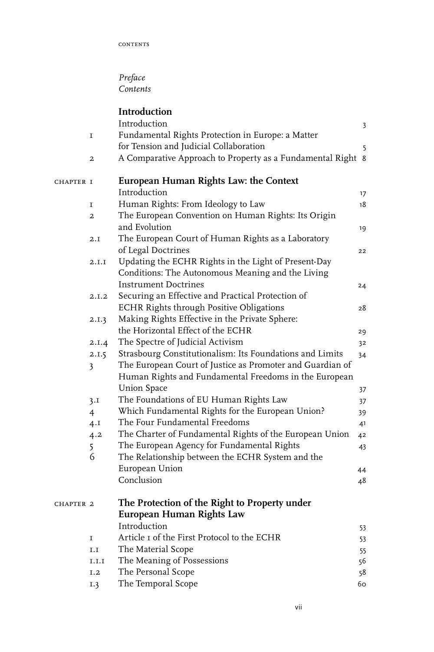## *Preface Contents*

|           |                | Introduction                                                                               |    |
|-----------|----------------|--------------------------------------------------------------------------------------------|----|
|           |                | Introduction                                                                               | 3  |
|           | I              | Fundamental Rights Protection in Europe: a Matter                                          |    |
|           |                | for Tension and Judicial Collaboration                                                     | 5  |
|           | 2              | A Comparative Approach to Property as a Fundamental Right 8                                |    |
| CHAPTER I |                | European Human Rights Law: the Context                                                     |    |
|           |                | Introduction                                                                               | 17 |
|           | I              | Human Rights: From Ideology to Law                                                         | 18 |
|           | $\overline{a}$ | The European Convention on Human Rights: Its Origin<br>and Evolution                       | 19 |
|           | 2.I            | The European Court of Human Rights as a Laboratory                                         |    |
|           |                | of Legal Doctrines                                                                         | 22 |
|           | 2.I.I          | Updating the ECHR Rights in the Light of Present-Day                                       |    |
|           |                | Conditions: The Autonomous Meaning and the Living                                          |    |
|           |                | Instrument Doctrines                                                                       |    |
|           | 2.I.2          | Securing an Effective and Practical Protection of                                          | 24 |
|           |                | ECHR Rights through Positive Obligations                                                   | 28 |
|           | 2.I.3          | Making Rights Effective in the Private Sphere:                                             |    |
|           |                | the Horizontal Effect of the ECHR                                                          |    |
|           | 2.I.4          | The Spectre of Judicial Activism                                                           | 29 |
|           |                | Strasbourg Constitutionalism: Its Foundations and Limits                                   | 32 |
|           | 2.1.5          | The European Court of Justice as Promoter and Guardian of                                  | 34 |
|           | 3              | Human Rights and Fundamental Freedoms in the European                                      |    |
|           |                | <b>Union Space</b>                                                                         |    |
|           |                |                                                                                            | 37 |
|           | 3.I            | The Foundations of EU Human Rights Law<br>Which Fundamental Rights for the European Union? | 37 |
|           | 4              | The Four Fundamental Freedoms                                                              | 39 |
|           | 4.1            |                                                                                            | 41 |
|           | 4.2            | The Charter of Fundamental Rights of the European Union                                    | 42 |
|           | 5              | The European Agency for Fundamental Rights                                                 | 43 |
|           | 6              | The Relationship between the ECHR System and the                                           |    |
|           |                | European Union                                                                             | 44 |
|           |                | Conclusion                                                                                 | 48 |
| CHAPTER 2 |                | The Protection of the Right to Property under                                              |    |
|           |                | European Human Rights Law                                                                  |    |
|           |                | Introduction                                                                               | 53 |
|           | 1              | Article I of the First Protocol to the ECHR                                                | 53 |
|           | I.I            | The Material Scope                                                                         | 55 |
|           | I.I.I          | The Meaning of Possessions                                                                 | 56 |
|           | I.2            | The Personal Scope                                                                         | 58 |
|           | 1.3            | The Temporal Scope                                                                         | 60 |
|           |                |                                                                                            |    |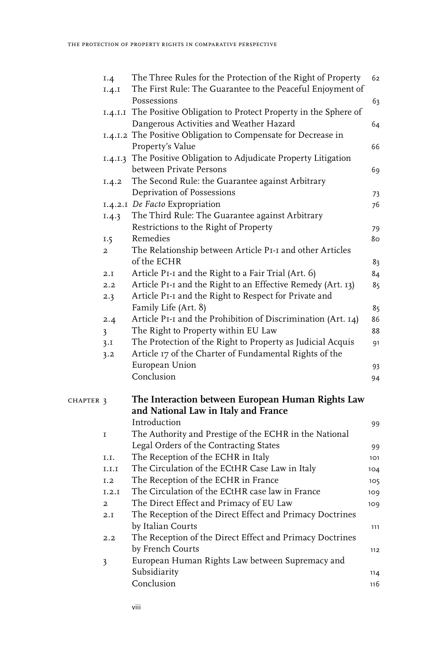|           | I.4                     | The Three Rules for the Protection of the Right of Property          | 62  |
|-----------|-------------------------|----------------------------------------------------------------------|-----|
|           | 1.4.1                   | The First Rule: The Guarantee to the Peaceful Enjoyment of           |     |
|           |                         | Possessions                                                          | 63  |
|           |                         | I.4.I.I The Positive Obligation to Protect Property in the Sphere of |     |
|           |                         | Dangerous Activities and Weather Hazard                              | 64  |
|           |                         | 1.4.1.2 The Positive Obligation to Compensate for Decrease in        |     |
|           |                         | Property's Value                                                     | 66  |
|           |                         | 1.4.1.3 The Positive Obligation to Adjudicate Property Litigation    |     |
|           |                         | between Private Persons                                              | 69  |
|           | 1.4.2                   | The Second Rule: the Guarantee against Arbitrary                     |     |
|           |                         | Deprivation of Possessions                                           | 73  |
|           |                         | 1.4.2.1 De Facto Expropriation                                       | 76  |
|           | 1.4.3                   | The Third Rule: The Guarantee against Arbitrary                      |     |
|           |                         | Restrictions to the Right of Property                                | 79  |
|           | I.5                     | Remedies                                                             | 80  |
|           | $\overline{2}$          | The Relationship between Article PI-I and other Articles             |     |
|           |                         | of the ECHR                                                          | 83  |
|           | 2.I                     | Article PI-I and the Right to a Fair Trial (Art. 6)                  | 84  |
|           | 2.2                     | Article P1-I and the Right to an Effective Remedy (Art. 13)          | 85  |
|           | 2.3                     | Article PI-I and the Right to Respect for Private and                |     |
|           |                         | Family Life (Art. 8)                                                 | 85  |
|           | 2.4                     | Article PI-I and the Prohibition of Discrimination (Art. 14)         | 86  |
|           | $\overline{\mathbf{3}}$ | The Right to Property within EU Law                                  | 88  |
|           | 3.1                     | The Protection of the Right to Property as Judicial Acquis           | 91  |
|           | 3.2                     | Article 17 of the Charter of Fundamental Rights of the               |     |
|           |                         | European Union                                                       | 93  |
|           |                         | Conclusion                                                           | 94  |
| CHAPTER 3 |                         | The Interaction between European Human Rights Law                    |     |
|           |                         | and National Law in Italy and France                                 |     |
|           |                         | Introduction                                                         | 99  |
|           | I                       | The Authority and Prestige of the ECHR in the National               |     |
|           |                         | Legal Orders of the Contracting States                               | 99  |
|           | I.I.                    | The Reception of the ECHR in Italy                                   | 101 |
|           | $_{\rm I.I.I}$          | The Circulation of the ECtHR Case Law in Italy                       | 104 |
|           | I.2                     | The Reception of the ECHR in France                                  | 105 |
|           | I.2.I                   | The Circulation of the ECtHR case law in France                      | 109 |
|           | 2                       | The Direct Effect and Primacy of EU Law                              | 109 |
|           | 2.I                     | The Reception of the Direct Effect and Primacy Doctrines             |     |
|           |                         | by Italian Courts                                                    | 111 |
|           | 2.2                     | The Reception of the Direct Effect and Primacy Doctrines             |     |
|           |                         | by French Courts                                                     | 112 |
|           | $\overline{\mathbf{3}}$ | European Human Rights Law between Supremacy and                      |     |
|           |                         | Subsidiarity                                                         | 114 |
|           |                         | Conclusion                                                           | 116 |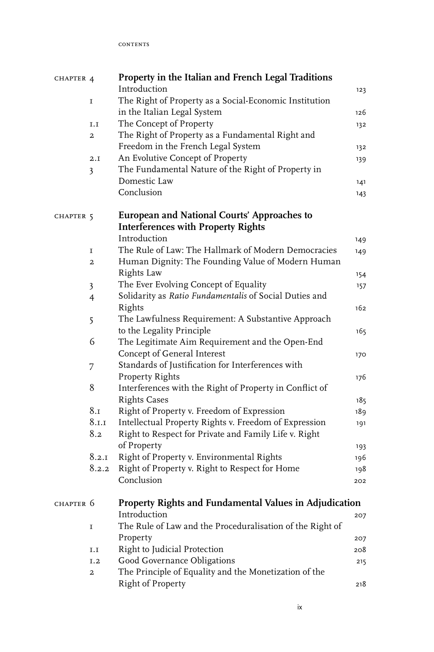**CONTENTS** 

| CHAPTER 4 |                         | Property in the Italian and French Legal Traditions       |     |
|-----------|-------------------------|-----------------------------------------------------------|-----|
|           |                         | Introduction                                              | 123 |
|           | $\mathbf I$             | The Right of Property as a Social-Economic Institution    |     |
|           |                         | in the Italian Legal System                               | 126 |
|           | I.I                     | The Concept of Property                                   | 132 |
|           | 2                       | The Right of Property as a Fundamental Right and          |     |
|           |                         | Freedom in the French Legal System                        | 132 |
|           | 2.I                     | An Evolutive Concept of Property                          | 139 |
|           | $\overline{\mathbf{3}}$ | The Fundamental Nature of the Right of Property in        |     |
|           |                         | Domestic Law                                              | 141 |
|           |                         | Conclusion                                                | 143 |
| CHAPTER 5 |                         | European and National Courts' Approaches to               |     |
|           |                         | <b>Interferences with Property Rights</b>                 |     |
|           |                         | Introduction                                              | 149 |
|           | $\mathbf I$             | The Rule of Law: The Hallmark of Modern Democracies       | 149 |
|           | 2                       | Human Dignity: The Founding Value of Modern Human         |     |
|           |                         | Rights Law                                                | 154 |
|           | $\overline{\mathbf{3}}$ | The Ever Evolving Concept of Equality                     | 157 |
|           | $\overline{4}$          | Solidarity as Ratio Fundamentalis of Social Duties and    |     |
|           |                         | Rights                                                    | 162 |
|           | 5                       | The Lawfulness Requirement: A Substantive Approach        |     |
|           |                         | to the Legality Principle                                 | 165 |
|           | 6                       | The Legitimate Aim Requirement and the Open-End           |     |
|           |                         | Concept of General Interest                               | 170 |
|           | 7                       | Standards of Justification for Interferences with         |     |
|           |                         | Property Rights                                           | 176 |
|           | 8                       | Interferences with the Right of Property in Conflict of   |     |
|           |                         | <b>Rights Cases</b>                                       | 185 |
|           | 8.1                     | Right of Property v. Freedom of Expression                | 189 |
|           | 8.1.1                   | Intellectual Property Rights v. Freedom of Expression     | 191 |
|           | 8.2                     | Right to Respect for Private and Family Life v. Right     |     |
|           |                         | of Property                                               | 193 |
|           | 8.2.1                   | Right of Property v. Environmental Rights                 | 196 |
|           | 8.2.2                   | Right of Property v. Right to Respect for Home            | 198 |
|           |                         | Conclusion                                                | 202 |
| CHAPTER 6 |                         | Property Rights and Fundamental Values in Adjudication    |     |
|           |                         | Introduction                                              | 207 |
|           | I                       | The Rule of Law and the Proceduralisation of the Right of |     |
|           |                         | Property                                                  | 207 |
|           | $_{\rm I.I}$            | Right to Judicial Protection                              | 208 |
|           | I.2                     | Good Governance Obligations                               | 215 |
|           | $\overline{\mathbf{2}}$ | The Principle of Equality and the Monetization of the     |     |
|           |                         | Right of Property                                         | 218 |
|           |                         |                                                           |     |